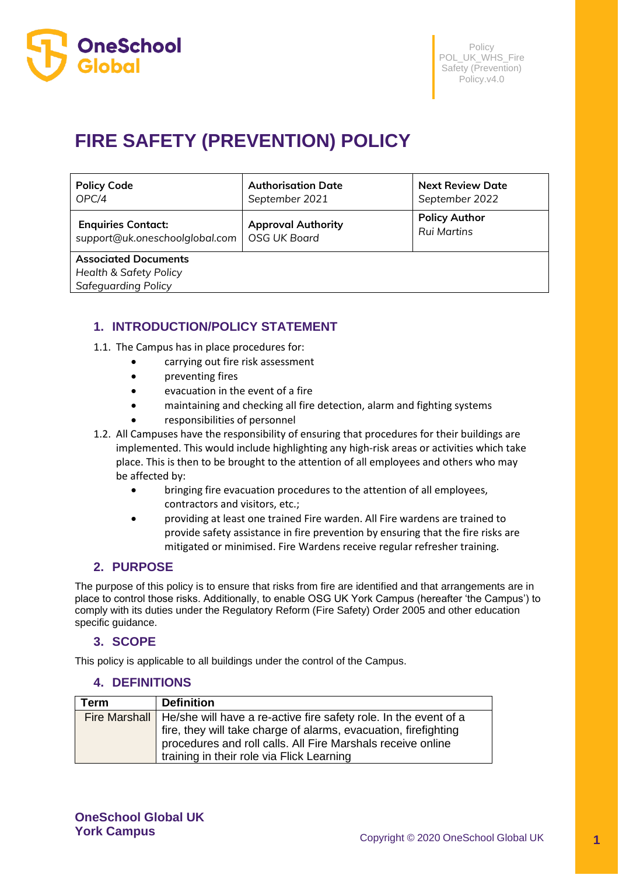

# **FIRE SAFETY (PREVENTION) POLICY**

| <b>Policy Code</b>                                               | <b>Authorisation Date</b> | <b>Next Review Date</b> |
|------------------------------------------------------------------|---------------------------|-------------------------|
| OPC/4                                                            | September 2021            | September 2022          |
| <b>Enquiries Contact:</b>                                        | <b>Approval Authority</b> | <b>Policy Author</b>    |
| support@uk.oneschoolglobal.com                                   | <b>OSG UK Board</b>       | <b>Rui Martins</b>      |
| <b>Associated Documents</b><br><b>Health &amp; Safety Policy</b> |                           |                         |

*Safeguarding Policy*

# **1. INTRODUCTION/POLICY STATEMENT**

- 1.1. The Campus has in place procedures for:
	- carrying out fire risk assessment
	- preventing fires
	- evacuation in the event of a fire
	- maintaining and checking all fire detection, alarm and fighting systems
	- responsibilities of personnel
- 1.2. All Campuses have the responsibility of ensuring that procedures for their buildings are implemented. This would include highlighting any high-risk areas or activities which take place. This is then to be brought to the attention of all employees and others who may be affected by:
	- bringing fire evacuation procedures to the attention of all employees, contractors and visitors, etc.;
	- providing at least one trained Fire warden. All Fire wardens are trained to provide safety assistance in fire prevention by ensuring that the fire risks are mitigated or minimised. Fire Wardens receive regular refresher training.

# **2. PURPOSE**

The purpose of this policy is to ensure that risks from fire are identified and that arrangements are in place to control those risks. Additionally, to enable OSG UK York Campus (hereafter 'the Campus') to comply with its duties under the Regulatory Reform (Fire Safety) Order 2005 and other education specific guidance.

## **3. SCOPE**

This policy is applicable to all buildings under the control of the Campus.

## **4. DEFINITIONS**

| Term | <b>Definition</b>                                                                |
|------|----------------------------------------------------------------------------------|
|      | Fire Marshall   He/she will have a re-active fire safety role. In the event of a |
|      | fire, they will take charge of alarms, evacuation, firefighting                  |
|      | procedures and roll calls. All Fire Marshals receive online                      |
|      | training in their role via Flick Learning                                        |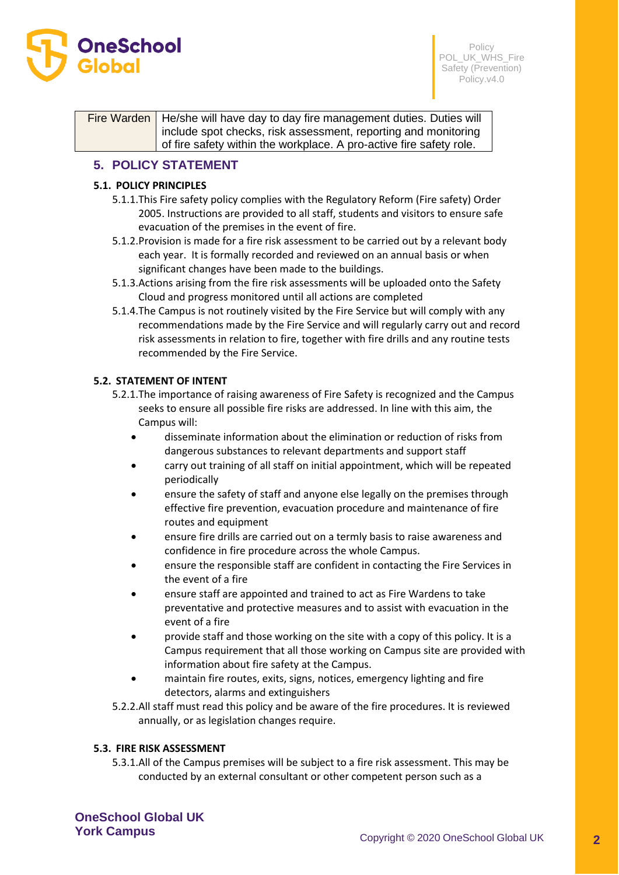

Fire Warden | He/she will have day to day fire management duties. Duties will include spot checks, risk assessment, reporting and monitoring of fire safety within the workplace. A pro-active fire safety role.

# **5. POLICY STATEMENT**

## **5.1. POLICY PRINCIPLES**

- 5.1.1.This Fire safety policy complies with the Regulatory Reform (Fire safety) Order 2005. Instructions are provided to all staff, students and visitors to ensure safe evacuation of the premises in the event of fire.
- 5.1.2.Provision is made for a fire risk assessment to be carried out by a relevant body each year. It is formally recorded and reviewed on an annual basis or when significant changes have been made to the buildings.
- 5.1.3.Actions arising from the fire risk assessments will be uploaded onto the Safety Cloud and progress monitored until all actions are completed
- 5.1.4.The Campus is not routinely visited by the Fire Service but will comply with any recommendations made by the Fire Service and will regularly carry out and record risk assessments in relation to fire, together with fire drills and any routine tests recommended by the Fire Service.

## **5.2. STATEMENT OF INTENT**

- 5.2.1.The importance of raising awareness of Fire Safety is recognized and the Campus seeks to ensure all possible fire risks are addressed. In line with this aim, the Campus will:
	- disseminate information about the elimination or reduction of risks from dangerous substances to relevant departments and support staff
	- carry out training of all staff on initial appointment, which will be repeated periodically
	- ensure the safety of staff and anyone else legally on the premises through effective fire prevention, evacuation procedure and maintenance of fire routes and equipment
	- ensure fire drills are carried out on a termly basis to raise awareness and confidence in fire procedure across the whole Campus.
	- ensure the responsible staff are confident in contacting the Fire Services in the event of a fire
	- ensure staff are appointed and trained to act as Fire Wardens to take preventative and protective measures and to assist with evacuation in the event of a fire
	- provide staff and those working on the site with a copy of this policy. It is a Campus requirement that all those working on Campus site are provided with information about fire safety at the Campus.
	- maintain fire routes, exits, signs, notices, emergency lighting and fire detectors, alarms and extinguishers
- 5.2.2.All staff must read this policy and be aware of the fire procedures. It is reviewed annually, or as legislation changes require.

#### **5.3. FIRE RISK ASSESSMENT**

5.3.1.All of the Campus premises will be subject to a fire risk assessment. This may be conducted by an external consultant or other competent person such as a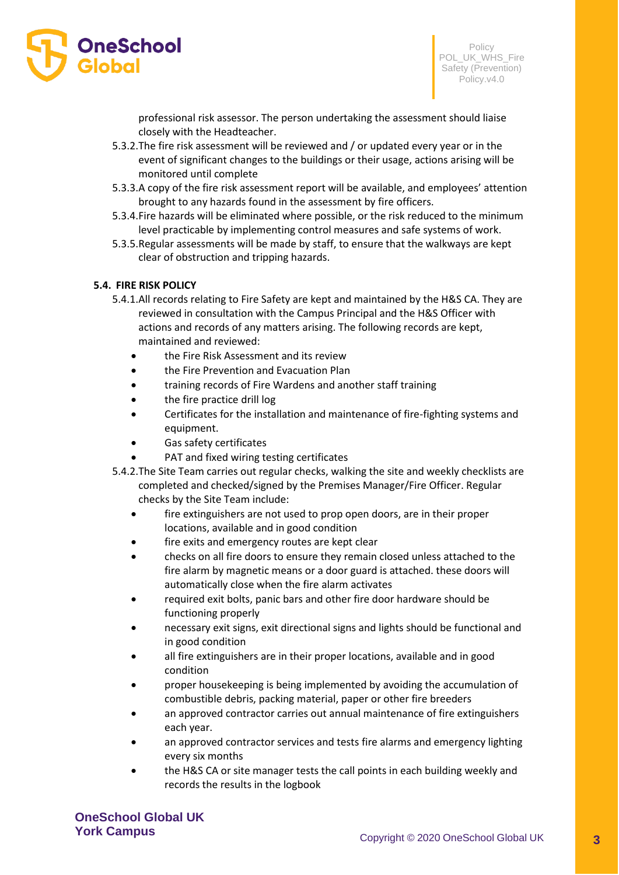

professional risk assessor. The person undertaking the assessment should liaise closely with the Headteacher.

- 5.3.2.The fire risk assessment will be reviewed and / or updated every year or in the event of significant changes to the buildings or their usage, actions arising will be monitored until complete
- 5.3.3.A copy of the fire risk assessment report will be available, and employees' attention brought to any hazards found in the assessment by fire officers.
- 5.3.4.Fire hazards will be eliminated where possible, or the risk reduced to the minimum level practicable by implementing control measures and safe systems of work.
- 5.3.5.Regular assessments will be made by staff, to ensure that the walkways are kept clear of obstruction and tripping hazards.

#### **5.4. FIRE RISK POLICY**

- 5.4.1.All records relating to Fire Safety are kept and maintained by the H&S CA. They are reviewed in consultation with the Campus Principal and the H&S Officer with actions and records of any matters arising. The following records are kept, maintained and reviewed:
	- the Fire Risk Assessment and its review
	- the Fire Prevention and Evacuation Plan
	- training records of Fire Wardens and another staff training
	- the fire practice drill log
	- Certificates for the installation and maintenance of fire-fighting systems and equipment.
	- Gas safety certificates
	- PAT and fixed wiring testing certificates
- 5.4.2.The Site Team carries out regular checks, walking the site and weekly checklists are completed and checked/signed by the Premises Manager/Fire Officer. Regular checks by the Site Team include:
	- fire extinguishers are not used to prop open doors, are in their proper locations, available and in good condition
	- fire exits and emergency routes are kept clear
	- checks on all fire doors to ensure they remain closed unless attached to the fire alarm by magnetic means or a door guard is attached. these doors will automatically close when the fire alarm activates
	- required exit bolts, panic bars and other fire door hardware should be functioning properly
	- necessary exit signs, exit directional signs and lights should be functional and in good condition
	- all fire extinguishers are in their proper locations, available and in good condition
	- proper housekeeping is being implemented by avoiding the accumulation of combustible debris, packing material, paper or other fire breeders
	- an approved contractor carries out annual maintenance of fire extinguishers each year.
	- an approved contractor services and tests fire alarms and emergency lighting every six months
	- the H&S CA or site manager tests the call points in each building weekly and records the results in the logbook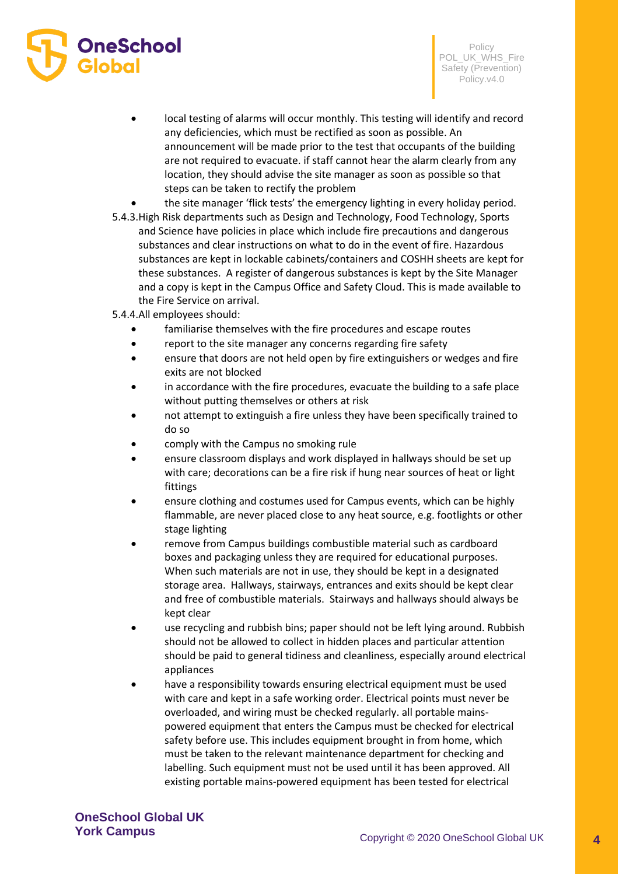

Policy POL\_UK\_WHS\_Fire Safety (Prevention) Policy.v4.0

- local testing of alarms will occur monthly. This testing will identify and record any deficiencies, which must be rectified as soon as possible. An announcement will be made prior to the test that occupants of the building are not required to evacuate. if staff cannot hear the alarm clearly from any location, they should advise the site manager as soon as possible so that steps can be taken to rectify the problem
- the site manager 'flick tests' the emergency lighting in every holiday period.
- 5.4.3.High Risk departments such as Design and Technology, Food Technology, Sports and Science have policies in place which include fire precautions and dangerous substances and clear instructions on what to do in the event of fire. Hazardous substances are kept in lockable cabinets/containers and COSHH sheets are kept for these substances. A register of dangerous substances is kept by the Site Manager and a copy is kept in the Campus Office and Safety Cloud. This is made available to the Fire Service on arrival.
- 5.4.4.All employees should:
	- familiarise themselves with the fire procedures and escape routes
	- report to the site manager any concerns regarding fire safety
	- ensure that doors are not held open by fire extinguishers or wedges and fire exits are not blocked
	- in accordance with the fire procedures, evacuate the building to a safe place without putting themselves or others at risk
	- not attempt to extinguish a fire unless they have been specifically trained to do so
	- comply with the Campus no smoking rule
	- ensure classroom displays and work displayed in hallways should be set up with care; decorations can be a fire risk if hung near sources of heat or light fittings
	- ensure clothing and costumes used for Campus events, which can be highly flammable, are never placed close to any heat source, e.g. footlights or other stage lighting
	- remove from Campus buildings combustible material such as cardboard boxes and packaging unless they are required for educational purposes. When such materials are not in use, they should be kept in a designated storage area. Hallways, stairways, entrances and exits should be kept clear and free of combustible materials. Stairways and hallways should always be kept clear
	- use recycling and rubbish bins; paper should not be left lying around. Rubbish should not be allowed to collect in hidden places and particular attention should be paid to general tidiness and cleanliness, especially around electrical appliances
	- have a responsibility towards ensuring electrical equipment must be used with care and kept in a safe working order. Electrical points must never be overloaded, and wiring must be checked regularly. all portable mainspowered equipment that enters the Campus must be checked for electrical safety before use. This includes equipment brought in from home, which must be taken to the relevant maintenance department for checking and labelling. Such equipment must not be used until it has been approved. All existing portable mains-powered equipment has been tested for electrical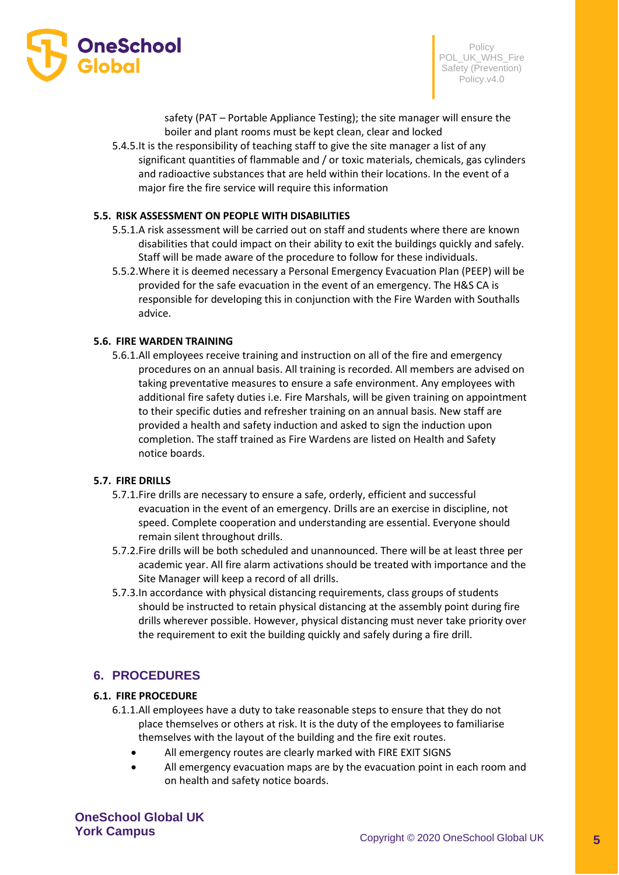

safety (PAT – Portable Appliance Testing); the site manager will ensure the boiler and plant rooms must be kept clean, clear and locked

5.4.5.It is the responsibility of teaching staff to give the site manager a list of any significant quantities of flammable and / or toxic materials, chemicals, gas cylinders and radioactive substances that are held within their locations. In the event of a major fire the fire service will require this information

#### **5.5. RISK ASSESSMENT ON PEOPLE WITH DISABILITIES**

- 5.5.1.A risk assessment will be carried out on staff and students where there are known disabilities that could impact on their ability to exit the buildings quickly and safely. Staff will be made aware of the procedure to follow for these individuals.
- 5.5.2.Where it is deemed necessary a Personal Emergency Evacuation Plan (PEEP) will be provided for the safe evacuation in the event of an emergency. The H&S CA is responsible for developing this in conjunction with the Fire Warden with Southalls advice.

#### **5.6. FIRE WARDEN TRAINING**

5.6.1.All employees receive training and instruction on all of the fire and emergency procedures on an annual basis. All training is recorded. All members are advised on taking preventative measures to ensure a safe environment. Any employees with additional fire safety duties i.e. Fire Marshals, will be given training on appointment to their specific duties and refresher training on an annual basis. New staff are provided a health and safety induction and asked to sign the induction upon completion. The staff trained as Fire Wardens are listed on Health and Safety notice boards.

## **5.7. FIRE DRILLS**

- 5.7.1.Fire drills are necessary to ensure a safe, orderly, efficient and successful evacuation in the event of an emergency. Drills are an exercise in discipline, not speed. Complete cooperation and understanding are essential. Everyone should remain silent throughout drills.
- 5.7.2.Fire drills will be both scheduled and unannounced. There will be at least three per academic year. All fire alarm activations should be treated with importance and the Site Manager will keep a record of all drills.
- 5.7.3.In accordance with physical distancing requirements, class groups of students should be instructed to retain physical distancing at the assembly point during fire drills wherever possible. However, physical distancing must never take priority over the requirement to exit the building quickly and safely during a fire drill.

# **6. PROCEDURES**

#### **6.1. FIRE PROCEDURE**

- 6.1.1.All employees have a duty to take reasonable steps to ensure that they do not place themselves or others at risk. It is the duty of the employees to familiarise themselves with the layout of the building and the fire exit routes.
	- All emergency routes are clearly marked with FIRE EXIT SIGNS
	- All emergency evacuation maps are by the evacuation point in each room and on health and safety notice boards.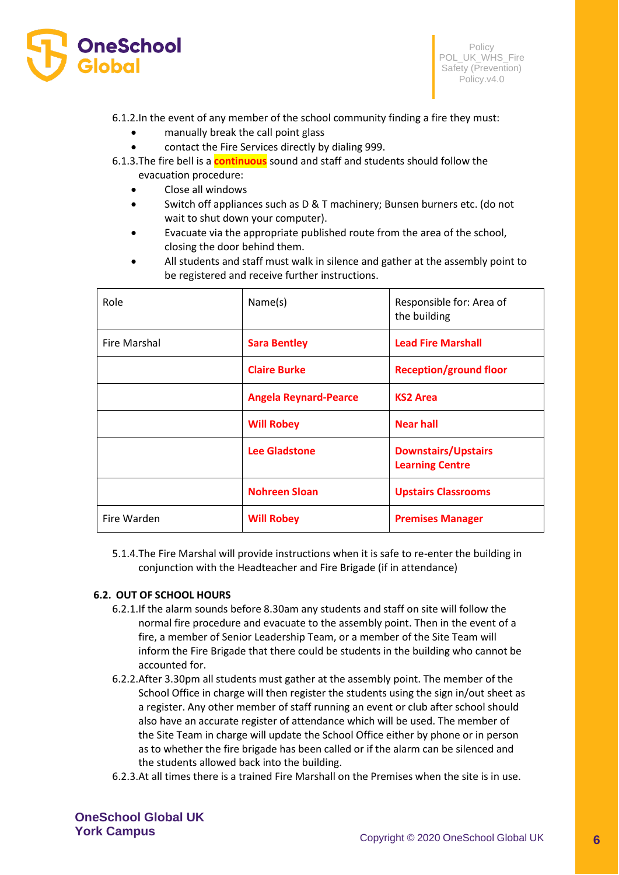

6.1.2.In the event of any member of the school community finding a fire they must:

- manually break the call point glass
- contact the Fire Services directly by dialing 999.
- 6.1.3.The fire bell is a **continuous** sound and staff and students should follow the evacuation procedure:
	- Close all windows
	- Switch off appliances such as D & T machinery; Bunsen burners etc. (do not wait to shut down your computer).
	- Evacuate via the appropriate published route from the area of the school, closing the door behind them.
	- All students and staff must walk in silence and gather at the assembly point to be registered and receive further instructions.

| Role                | Name(s)                      | Responsible for: Area of<br>the building             |
|---------------------|------------------------------|------------------------------------------------------|
| <b>Fire Marshal</b> | <b>Sara Bentley</b>          | <b>Lead Fire Marshall</b>                            |
|                     | <b>Claire Burke</b>          | <b>Reception/ground floor</b>                        |
|                     | <b>Angela Reynard-Pearce</b> | <b>KS2 Area</b>                                      |
|                     | <b>Will Robey</b>            | <b>Near hall</b>                                     |
|                     | <b>Lee Gladstone</b>         | <b>Downstairs/Upstairs</b><br><b>Learning Centre</b> |
|                     | <b>Nohreen Sloan</b>         | <b>Upstairs Classrooms</b>                           |
| Fire Warden         | <b>Will Robey</b>            | <b>Premises Manager</b>                              |

5.1.4.The Fire Marshal will provide instructions when it is safe to re-enter the building in conjunction with the Headteacher and Fire Brigade (if in attendance)

#### **6.2. OUT OF SCHOOL HOURS**

- 6.2.1.If the alarm sounds before 8.30am any students and staff on site will follow the normal fire procedure and evacuate to the assembly point. Then in the event of a fire, a member of Senior Leadership Team, or a member of the Site Team will inform the Fire Brigade that there could be students in the building who cannot be accounted for.
- 6.2.2.After 3.30pm all students must gather at the assembly point. The member of the School Office in charge will then register the students using the sign in/out sheet as a register. Any other member of staff running an event or club after school should also have an accurate register of attendance which will be used. The member of the Site Team in charge will update the School Office either by phone or in person as to whether the fire brigade has been called or if the alarm can be silenced and the students allowed back into the building.
- 6.2.3.At all times there is a trained Fire Marshall on the Premises when the site is in use.